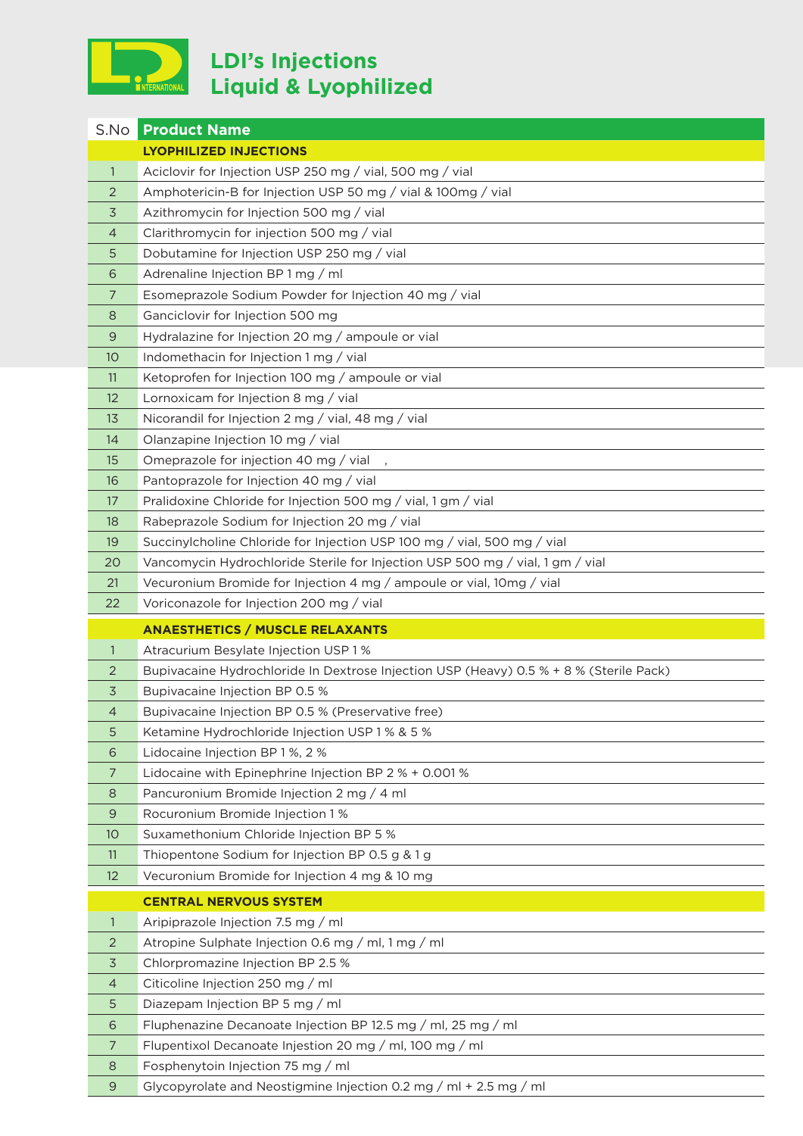

## **LDI's Injections Liquid & Lyophilized**

| S.No           | <b>Product Name</b>                                                                          |
|----------------|----------------------------------------------------------------------------------------------|
|                | <b>LYOPHILIZED INJECTIONS</b>                                                                |
| $\mathbf{1}$   | Aciclovir for Injection USP 250 mg / vial, 500 mg / vial                                     |
| 2              | Amphotericin-B for Injection USP 50 mg / vial & 100mg / vial                                 |
| 3              | Azithromycin for Injection 500 mg / vial                                                     |
| 4              | Clarithromycin for injection 500 mg / vial                                                   |
| 5              | Dobutamine for Injection USP 250 mg / vial                                                   |
| 6              | Adrenaline Injection BP 1 mg / ml                                                            |
| 7              | Esomeprazole Sodium Powder for Injection 40 mg / vial                                        |
| 8              | Ganciclovir for Injection 500 mg                                                             |
| 9              | Hydralazine for Injection 20 mg / ampoule or vial                                            |
| 10             | Indomethacin for Injection 1 mg / vial                                                       |
| 11             | Ketoprofen for Injection 100 mg / ampoule or vial                                            |
| 12             | Lornoxicam for Injection 8 mg / vial                                                         |
| 13             | Nicorandil for Injection 2 mg / vial, 48 mg / vial                                           |
| 14             | Olanzapine Injection 10 mg / vial                                                            |
| 15             | Omeprazole for injection 40 mg / vial                                                        |
| 16             | Pantoprazole for Injection 40 mg / vial                                                      |
| 17             | Pralidoxine Chloride for Injection 500 mg / vial, 1 gm / vial                                |
| 18             | Rabeprazole Sodium for Injection 20 mg / vial                                                |
| 19             | Succinylcholine Chloride for Injection USP 100 mg / vial, 500 mg / vial                      |
| 20             | Vancomycin Hydrochloride Sterile for Injection USP 500 mg / vial, 1 gm / vial                |
| 21             | Vecuronium Bromide for Injection 4 mg / ampoule or vial, 10mg / vial                         |
| 22             | Voriconazole for Injection 200 mg / vial                                                     |
|                | <b>ANAESTHETICS / MUSCLE RELAXANTS</b>                                                       |
| 1              | Atracurium Besylate Injection USP 1%                                                         |
| $\overline{2}$ | Bupivacaine Hydrochloride In Dextrose Injection USP (Heavy) 0.5 % + 8 % (Sterile Pack)       |
| 3              | Bupivacaine Injection BP 0.5 %                                                               |
| 4              |                                                                                              |
|                | Bupivacaine Injection BP 0.5 % (Preservative free)                                           |
| 5              | Ketamine Hydrochloride Injection USP 1 % & 5 %                                               |
| 6              | Lidocaine Injection BP 1%, 2%                                                                |
| 7              | Lidocaine with Epinephrine Injection BP 2 % + 0.001 %                                        |
| 8              | Pancuronium Bromide Injection 2 mg / 4 ml                                                    |
| 9              | Rocuronium Bromide Injection 1%                                                              |
| 10             | Suxamethonium Chloride Injection BP 5 %                                                      |
| 11             | Thiopentone Sodium for Injection BP 0.5 g & 1 g                                              |
| 12             | Vecuronium Bromide for Injection 4 mg & 10 mg                                                |
|                | <b>CENTRAL NERVOUS SYSTEM</b>                                                                |
| $\mathbf{1}$   | Aripiprazole Injection 7.5 mg / ml                                                           |
| 2              | Atropine Sulphate Injection 0.6 mg / ml, 1 mg / ml                                           |
| 3              | Chlorpromazine Injection BP 2.5 %                                                            |
| 4              | Citicoline Injection 250 mg / ml                                                             |
| 5              | Diazepam Injection BP 5 mg / ml                                                              |
| 6              | Fluphenazine Decanoate Injection BP 12.5 mg / ml, 25 mg / ml                                 |
| 7<br>8         | Flupentixol Decanoate Injestion 20 mg / ml, 100 mg / ml<br>Fosphenytoin Injection 75 mg / ml |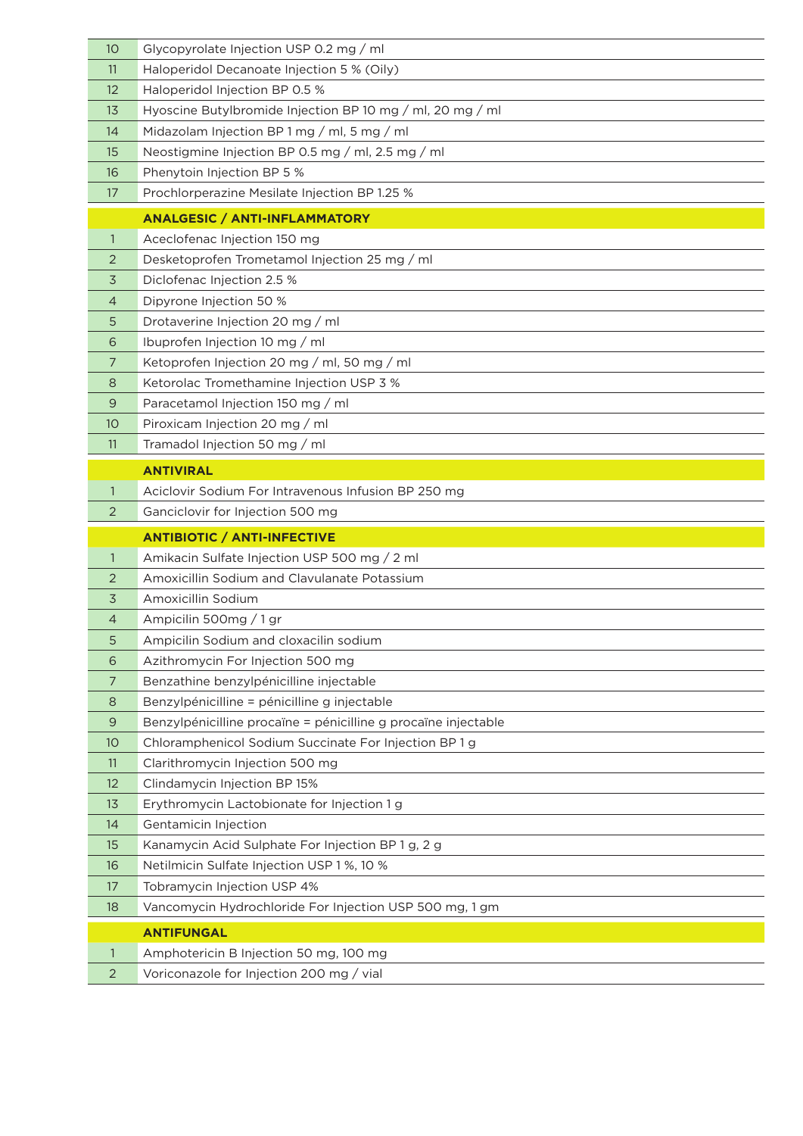| 10             | Glycopyrolate Injection USP 0.2 mg / ml                        |
|----------------|----------------------------------------------------------------|
| 11             | Haloperidol Decanoate Injection 5 % (Oily)                     |
| 12             | Haloperidol Injection BP 0.5 %                                 |
| 13             | Hyoscine Butylbromide Injection BP 10 mg / ml, 20 mg / ml      |
| 14             | Midazolam Injection BP 1 mg / ml, 5 mg / ml                    |
| 15             | Neostigmine Injection BP 0.5 mg / ml, 2.5 mg / ml              |
| 16             | Phenytoin Injection BP 5 %                                     |
| 17             | Prochlorperazine Mesilate Injection BP 1.25 %                  |
|                | <b>ANALGESIC / ANTI-INFLAMMATORY</b>                           |
| $\mathbf{1}$   | Aceclofenac Injection 150 mg                                   |
| 2              | Desketoprofen Trometamol Injection 25 mg / ml                  |
| 3              | Diclofenac Injection 2.5 %                                     |
| $\overline{4}$ | Dipyrone Injection 50 %                                        |
| 5              | Drotaverine Injection 20 mg / ml                               |
| 6              | Ibuprofen Injection 10 mg / ml                                 |
| 7              | Ketoprofen Injection 20 mg / ml, 50 mg / ml                    |
| 8              | Ketorolac Tromethamine Injection USP 3 %                       |
| 9              | Paracetamol Injection 150 mg / ml                              |
| 10             | Piroxicam Injection 20 mg / ml                                 |
| 11             | Tramadol Injection 50 mg / ml                                  |
|                | <b>ANTIVIRAL</b>                                               |
| $\mathbf{1}$   | Aciclovir Sodium For Intravenous Infusion BP 250 mg            |
|                |                                                                |
| 2              | Ganciclovir for Injection 500 mg                               |
|                | <b>ANTIBIOTIC / ANTI-INFECTIVE</b>                             |
| 1              | Amikacin Sulfate Injection USP 500 mg / 2 ml                   |
| 2              | Amoxicillin Sodium and Clavulanate Potassium                   |
| 3              | Amoxicillin Sodium                                             |
| 4              | Ampicilin 500mg / 1 gr                                         |
| 5              | Ampicilin Sodium and cloxacilin sodium                         |
| 6              | Azithromycin For Injection 500 mg                              |
| $\overline{7}$ | Benzathine benzylpénicilline injectable                        |
| 8              | Benzylpénicilline = pénicilline g injectable                   |
| 9              | Benzylpénicilline procaïne = pénicilline g procaïne injectable |
| 10             | Chloramphenicol Sodium Succinate For Injection BP 1 g          |
| 11             | Clarithromycin Injection 500 mg                                |
| 12             | Clindamycin Injection BP 15%                                   |
| 13             | Erythromycin Lactobionate for Injection 1 g                    |
| 14             | Gentamicin Injection                                           |
| 15             | Kanamycin Acid Sulphate For Injection BP 1 g, 2 g              |
| 16             | Netilmicin Sulfate Injection USP 1 %, 10 %                     |
| 17             | Tobramycin Injection USP 4%                                    |
| 18             | Vancomycin Hydrochloride For Injection USP 500 mg, 1 gm        |
|                | <b>ANTIFUNGAL</b>                                              |
| $\mathbf{1}$   | Amphotericin B Injection 50 mg, 100 mg                         |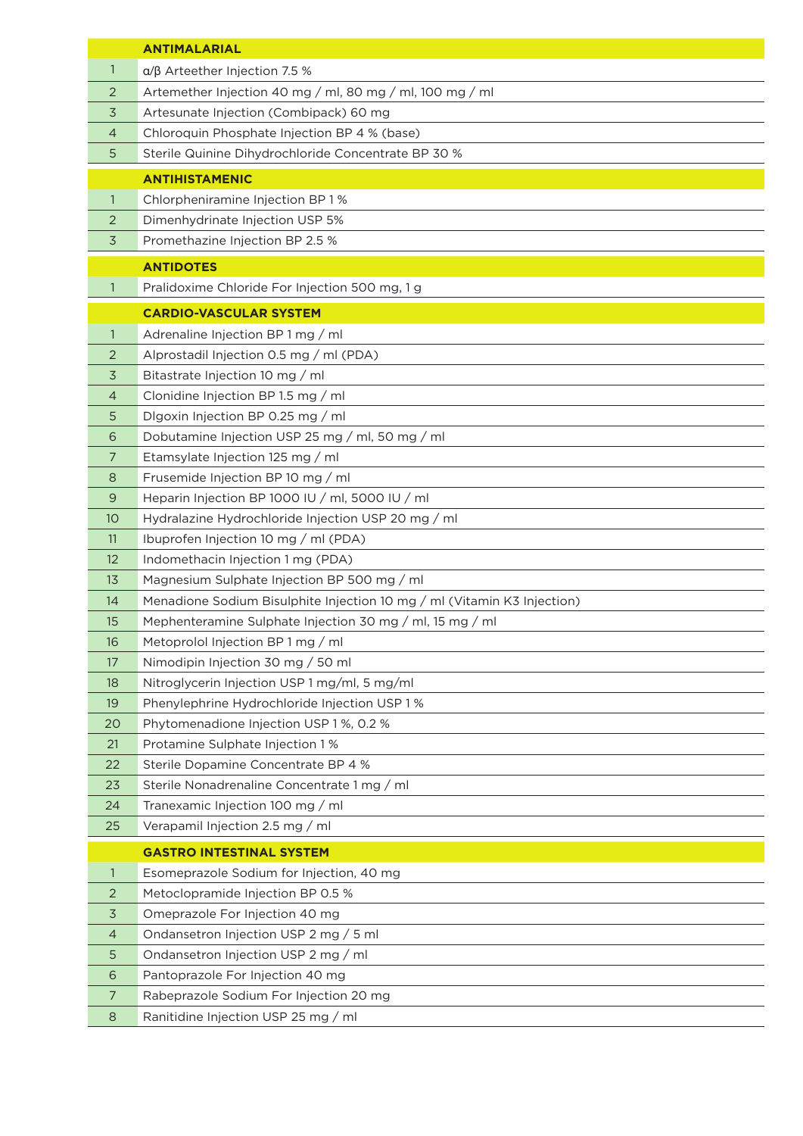|                | <b>ANTIMALARIAL</b>                                                     |
|----------------|-------------------------------------------------------------------------|
| 1              | $\alpha$ / $\beta$ Arteether Injection 7.5 %                            |
| 2              | Artemether Injection 40 mg / ml, 80 mg / ml, 100 mg / ml                |
| 3              | Artesunate Injection (Combipack) 60 mg                                  |
| 4              | Chloroquin Phosphate Injection BP 4 % (base)                            |
| 5              | Sterile Quinine Dihydrochloride Concentrate BP 30 %                     |
|                | <b>ANTIHISTAMENIC</b>                                                   |
| 1              | Chlorpheniramine Injection BP 1%                                        |
| 2              | Dimenhydrinate Injection USP 5%                                         |
| 3              | Promethazine Injection BP 2.5 %                                         |
|                |                                                                         |
|                | <b>ANTIDOTES</b>                                                        |
| 1              | Pralidoxime Chloride For Injection 500 mg, 1 g                          |
|                | <b>CARDIO-VASCULAR SYSTEM</b>                                           |
| $\mathbf{1}$   | Adrenaline Injection BP 1 mg / ml                                       |
| $\overline{2}$ | Alprostadil Injection 0.5 mg / ml (PDA)                                 |
| 3              | Bitastrate Injection 10 mg / ml                                         |
| 4              | Clonidine Injection BP 1.5 mg / ml                                      |
| 5              | Dlgoxin Injection BP 0.25 mg / ml                                       |
| 6              | Dobutamine Injection USP 25 mg / ml, 50 mg / ml                         |
| 7              | Etamsylate Injection 125 mg / ml                                        |
| 8              | Frusemide Injection BP 10 mg / ml                                       |
| 9              | Heparin Injection BP 1000 IU / ml, 5000 IU / ml                         |
| 10             | Hydralazine Hydrochloride Injection USP 20 mg / ml                      |
| 11             | Ibuprofen Injection 10 mg / ml (PDA)                                    |
| 12             | Indomethacin Injection 1 mg (PDA)                                       |
| 13             | Magnesium Sulphate Injection BP 500 mg / ml                             |
| 14             | Menadione Sodium Bisulphite Injection 10 mg / ml (Vitamin K3 Injection) |
| 15             | Mephenteramine Sulphate Injection 30 mg / ml, 15 mg / ml                |
| 16             | Metoprolol Injection BP 1 mg / ml                                       |
| 17             | Nimodipin Injection 30 mg / 50 ml                                       |
| 18             | Nitroglycerin Injection USP 1 mg/ml, 5 mg/ml                            |
| 19             | Phenylephrine Hydrochloride Injection USP 1 %                           |
| 20             | Phytomenadione Injection USP 1 %, 0.2 %                                 |
| 21             | Protamine Sulphate Injection 1%                                         |
| 22             | Sterile Dopamine Concentrate BP 4 %                                     |
| 23             | Sterile Nonadrenaline Concentrate 1 mg / ml                             |
| 24             | Tranexamic Injection 100 mg / ml                                        |
| 25             | Verapamil Injection 2.5 mg / ml                                         |
|                | <b>GASTRO INTESTINAL SYSTEM</b>                                         |
| $\mathbf{1}$   | Esomeprazole Sodium for Injection, 40 mg                                |
| 2              | Metoclopramide Injection BP 0.5 %                                       |
| 3              | Omeprazole For Injection 40 mg                                          |
| 4              | Ondansetron Injection USP 2 mg / 5 ml                                   |
| 5              | Ondansetron Injection USP 2 mg / ml                                     |
| 6              | Pantoprazole For Injection 40 mg                                        |
| 7              | Rabeprazole Sodium For Injection 20 mg                                  |
| 8              | Ranitidine Injection USP 25 mg / ml                                     |